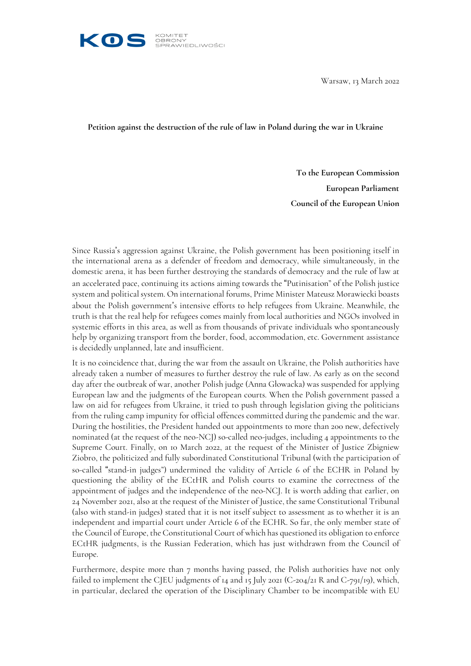

Warsaw, 13 March 2022

**Petition against the destruction of the rule of law in Poland during the war in Ukraine**

**To the European Commission European Parliament Council of the European Union**

Since Russia's aggression against Ukraine, the Polish government has been positioning itself in the international arena as a defender of freedom and democracy, while simultaneously, in the domestic arena, it has been further destroying the standards of democracy and the rule of law at an accelerated pace, continuing its actions aiming towards the "Putinisation" of the Polish justice system and political system. On international forums, Prime Minister Mateusz Morawiecki boasts about the Polish government's intensive efforts to help refugees from Ukraine. Meanwhile, the truth is that the real help for refugees comes mainly from local authorities and NGOs involved in systemic efforts in this area, as well as from thousands of private individuals who spontaneously help by organizing transport from the border, food, accommodation, etc. Government assistance is decidedly unplanned, late and insufficient.

It is no coincidence that, during the war from the assault on Ukraine, the Polish authorities have already taken a number of measures to further destroy the rule of law. As early as on the second day after the outbreak of war, another Polish judge (Anna Głowacka) was suspended for applying European law and the judgments of the European courts. When the Polish government passed a law on aid for refugees from Ukraine, it tried to push through legislation giving the politicians from the ruling camp impunity for official offences committed during the pandemic and the war. During the hostilities, the President handed out appointments to more than 200 new, defectively nominated (at the request of the neo-NCJ) so-called neo-judges, including 4 appointments to the Supreme Court. Finally, on 10 March 2022, at the request of the Minister of Justice Zbigniew Ziobro, the politicized and fully subordinated Constitutional Tribunal (with the participation of so-called "stand-in judges") undermined the validity of Article 6 of the ECHR in Poland by questioning the ability of the ECtHR and Polish courts to examine the correctness of the appointment of judges and the independence of the neo-NCJ. It is worth adding that earlier, on 24 November 2021, also at the request of the Minister of Justice, the same Constitutional Tribunal (also with stand-in judges) stated that it is not itself subject to assessment as to whether it is an independent and impartial court under Article 6 of the ECHR. So far, the only member state of the Council of Europe, the Constitutional Court of which has questioned its obligation to enforce ECtHR judgments, is the Russian Federation, which has just withdrawn from the Council of Europe.

Furthermore, despite more than 7 months having passed, the Polish authorities have not only failed to implement the CJEU judgments of 14 and 15 July 2021 (C-204/21 R and C-791/19), which, in particular, declared the operation of the Disciplinary Chamber to be incompatible with EU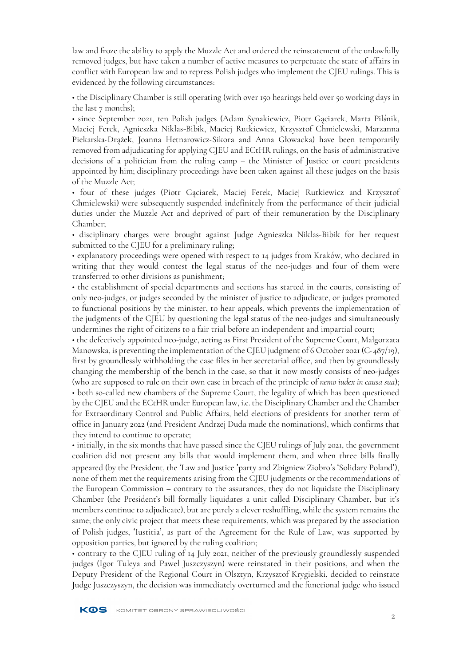law and froze the ability to apply the Muzzle Act and ordered the reinstatement of the unlawfully removed judges, but have taken a number of active measures to perpetuate the state of affairs in conflict with European law and to repress Polish judges who implement the CJEU rulings. This is evidenced by the following circumstances:

• the Disciplinary Chamber is still operating (with over 150 hearings held over 50 working days in the last  $7$  months);

• since September 2021, ten Polish judges (Adam Synakiewicz, Piotr Gąciarek, Marta Pilśnik, Maciej Ferek, Agnieszka Niklas-Bibik, Maciej Rutkiewicz, Krzysztof Chmielewski, Marzanna Piekarska-Drążek, Joanna Hetnarowicz-Sikora and Anna Głowacka) have been temporarily removed from adjudicating for applying CJEU and ECtHR rulings, on the basis of administrative decisions of a politician from the ruling camp – the Minister of Justice or court presidents appointed by him; disciplinary proceedings have been taken against all these judges on the basis of the Muzzle Act;

• four of these judges (Piotr Gąciarek, Maciej Ferek, Maciej Rutkiewicz and Krzysztof Chmielewski) were subsequently suspended indefinitely from the performance of their judicial duties under the Muzzle Act and deprived of part of their remuneration by the Disciplinary Chamber;

• disciplinary charges were brought against Judge Agnieszka Niklas-Bibik for her request submitted to the CJEU for a preliminary ruling;

• explanatory proceedings were opened with respect to 14 judges from Kraków, who declared in writing that they would contest the legal status of the neo-judges and four of them were transferred to other divisions as punishment;

• the establishment of special departments and sections has started in the courts, consisting of only neo-judges, or judges seconded by the minister of justice to adjudicate, or judges promoted to functional positions by the minister, to hear appeals, which prevents the implementation of the judgments of the CJEU by questioning the legal status of the neo-judges and simultaneously undermines the right of citizens to a fair trial before an independent and impartial court;

• the defectively appointed neo-judge, acting as First President of the Supreme Court, Małgorzata Manowska, is preventing the implementation of the CJEU judgment of 6 October 2021 (C-487/19), first by groundlessly withholding the case files in her secretarial office, and then by groundlessly changing the membership of the bench in the case, so that it now mostly consists of neo-judges (who are supposed to rule on their own case in breach of the principle of *nemo iudex in causa sua*); • both so-called new chambers of the Supreme Court, the legality of which has been questioned by the CJEU and the ECtHR under European law, i.e. the Disciplinary Chamber and the Chamber for Extraordinary Control and Public Affairs, held elections of presidents for another term of office in January 2022 (and President Andrzej Duda made the nominations), which confirms that they intend to continue to operate;

• initially, in the six months that have passed since the CJEU rulings of July 2021, the government coalition did not present any bills that would implement them, and when three bills finally appeared (by the President, the 'Law and Justice 'party and Zbigniew Ziobro's 'Solidary Poland'), none of them met the requirements arising from the CJEU judgments or the recommendations of the European Commission – contrary to the assurances, they do not liquidate the Disciplinary Chamber (the President's bill formally liquidates a unit called Disciplinary Chamber, but it's members continue to adjudicate), but are purely a clever reshuffling, while the system remains the same; the only civic project that meets these requirements, which was prepared by the association of Polish judges, 'Iustitia', as part of the Agreement for the Rule of Law, was supported by opposition parties, but ignored by the ruling coalition;

• contrary to the CJEU ruling of 14 July 2021, neither of the previously groundlessly suspended judges (Igor Tuleya and Paweł Juszczyszyn) were reinstated in their positions, and when the Deputy President of the Regional Court in Olsztyn, Krzysztof Krygielski, decided to reinstate Judge Juszczyszyn, the decision was immediately overturned and the functional judge who issued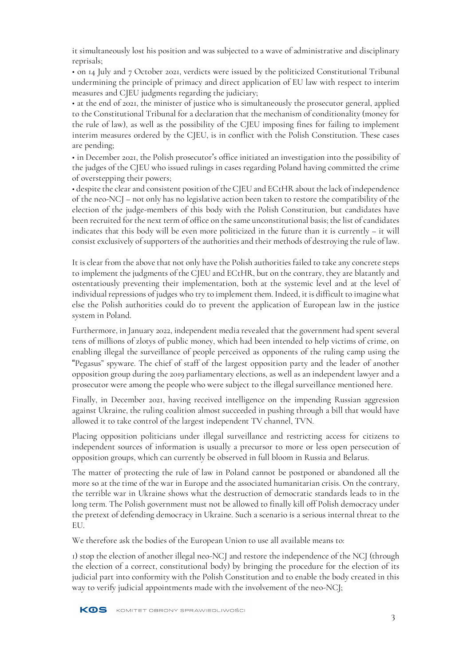it simultaneously lost his position and was subjected to a wave of administrative and disciplinary reprisals;

• on 14 July and 7 October 2021, verdicts were issued by the politicized Constitutional Tribunal undermining the principle of primacy and direct application of EU law with respect to interim measures and CJEU judgments regarding the judiciary;

• at the end of 2021, the minister of justice who is simultaneously the prosecutor general, applied to the Constitutional Tribunal for a declaration that the mechanism of conditionality (money for the rule of law), as well as the possibility of the CJEU imposing fines for failing to implement interim measures ordered by the CJEU, is in conflict with the Polish Constitution. These cases are pending;

• in December 2021, the Polish prosecutor's office initiated an investigation into the possibility of the judges of the CJEU who issued rulings in cases regarding Poland having committed the crime of overstepping their powers;

• despite the clear and consistent position of the CJEU and ECtHR about the lack of independence of the neo-NCJ – not only has no legislative action been taken to restore the compatibility of the election of the judge-members of this body with the Polish Constitution, but candidates have been recruited for the next term of office on the same unconstitutional basis; the list of candidates indicates that this body will be even more politicized in the future than it is currently – it will consist exclusively of supporters of the authorities and their methods of destroying the rule of law.

It is clear from the above that not only have the Polish authorities failed to take any concrete steps to implement the judgments of the CJEU and ECtHR, but on the contrary, they are blatantly and ostentatiously preventing their implementation, both at the systemic level and at the level of individual repressions of judges who try to implement them. Indeed, it is difficult to imagine what else the Polish authorities could do to prevent the application of European law in the justice system in Poland.

Furthermore, in January 2022, independent media revealed that the government had spent several tens of millions of zlotys of public money, which had been intended to help victims of crime, on enabling illegal the surveillance of people perceived as opponents of the ruling camp using the "Pegasus" spyware. The chief of staff of the largest opposition party and the leader of another opposition group during the 2019 parliamentary elections, as well as an independent lawyer and a prosecutor were among the people who were subject to the illegal surveillance mentioned here.

Finally, in December 2021, having received intelligence on the impending Russian aggression against Ukraine, the ruling coalition almost succeeded in pushing through a bill that would have allowed it to take control of the largest independent TV channel, TVN.

Placing opposition politicians under illegal surveillance and restricting access for citizens to independent sources of information is usually a precursor to more or less open persecution of opposition groups, which can currently be observed in full bloom in Russia and Belarus.

The matter of protecting the rule of law in Poland cannot be postponed or abandoned all the more so at the time of the war in Europe and the associated humanitarian crisis. On the contrary, the terrible war in Ukraine shows what the destruction of democratic standards leads to in the long term. The Polish government must not be allowed to finally kill off Polish democracy under the pretext of defending democracy in Ukraine. Such a scenario is a serious internal threat to the EU.

We therefore ask the bodies of the European Union to use all available means to:

1) stop the election of another illegal neo-NCJ and restore the independence of the NCJ (through the election of a correct, constitutional body) by bringing the procedure for the election of its judicial part into conformity with the Polish Constitution and to enable the body created in this way to verify judicial appointments made with the involvement of the neo-NCJ;

KOS KOMITET OBRONY SPRAWIEDLIWOŚCI